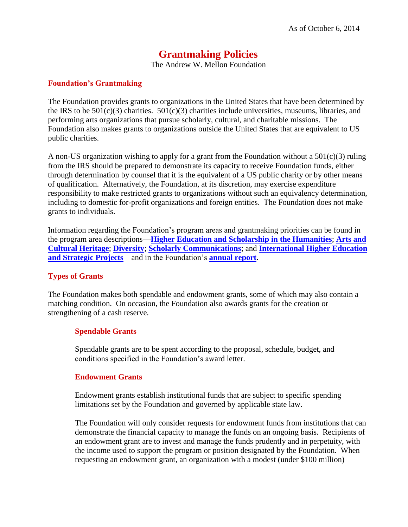# **Grantmaking Policies**

The Andrew W. Mellon Foundation

### **Foundation's Grantmaking**

The Foundation provides grants to organizations in the United States that have been determined by the IRS to be  $501(c)(3)$  charities.  $501(c)(3)$  charities include universities, museums, libraries, and performing arts organizations that pursue scholarly, cultural, and charitable missions. The Foundation also makes grants to organizations outside the United States that are equivalent to US public charities.

A non-US organization wishing to apply for a grant from the Foundation without a 501(c)(3) ruling from the IRS should be prepared to demonstrate its capacity to receive Foundation funds, either through determination by counsel that it is the equivalent of a US public charity or by other means of qualification. Alternatively, the Foundation, at its discretion, may exercise expenditure responsibility to make restricted grants to organizations without such an equivalency determination, including to domestic for-profit organizations and foreign entities. The Foundation does not make grants to individuals.

Information regarding the Foundation's program areas and grantmaking priorities can be found in the program area descriptions—**[Higher Education and Scholarship](http://www.mellon.org/programs/higher-education-and-scholarship-humanities/) in the Humanities**; **[Arts and](http://www.mellon.org/programs/arts-and-cultural-heritage/)  [Cultural Heritage](http://www.mellon.org/programs/arts-and-cultural-heritage/)**; **[Diversity](http://www.mellon.org/programs/diversity/)**; **[Scholarly Communications](http://www.mellon.org/programs/scholarly-communications/)**; and **[International Higher Education](http://www.mellon.org/programs/international/)  [and Strategic Projects](http://www.mellon.org/programs/international/)**—and in the Foundation's **[annual report](http://www.mellon.org/about/annual-reports/)**.

#### **Types of Grants**

The Foundation makes both spendable and endowment grants, some of which may also contain a matching condition. On occasion, the Foundation also awards grants for the creation or strengthening of a cash reserve.

#### **Spendable Grants**

Spendable grants are to be spent according to the proposal, schedule, budget, and conditions specified in the Foundation's award letter.

#### **Endowment Grants**

Endowment grants establish institutional funds that are subject to specific spending limitations set by the Foundation and governed by applicable state law.

The Foundation will only consider requests for endowment funds from institutions that can demonstrate the financial capacity to manage the funds on an ongoing basis. Recipients of an endowment grant are to invest and manage the funds prudently and in perpetuity, with the income used to support the program or position designated by the Foundation. When requesting an endowment grant, an organization with a modest (under \$100 million)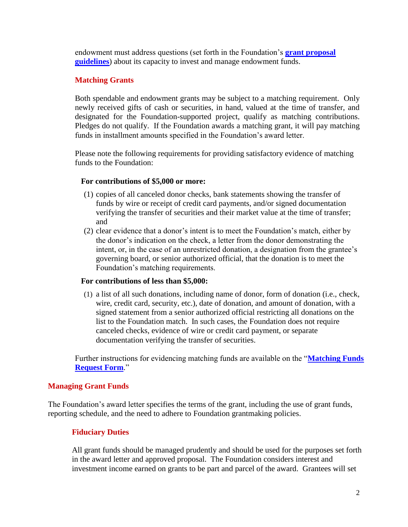endowment must address questions (set forth in the Foundation's **[grant proposal](http://www.mellon.org/grants/grantmaking-policies-and-guidelines/grant-proposal-guidelines/)  [guidelines](http://www.mellon.org/grants/grantmaking-policies-and-guidelines/grant-proposal-guidelines/)**) about its capacity to invest and manage endowment funds.

# **Matching Grants**

Both spendable and endowment grants may be subject to a matching requirement. Only newly received gifts of cash or securities, in hand, valued at the time of transfer, and designated for the Foundation-supported project, qualify as matching contributions. Pledges do not qualify. If the Foundation awards a matching grant, it will pay matching funds in installment amounts specified in the Foundation's award letter.

Please note the following requirements for providing satisfactory evidence of matching funds to the Foundation:

## **For contributions of \$5,000 or more:**

- (1) copies of all canceled donor checks, bank statements showing the transfer of funds by wire or receipt of credit card payments, and/or signed documentation verifying the transfer of securities and their market value at the time of transfer; and
- (2) clear evidence that a donor's intent is to meet the Foundation's match, either by the donor's indication on the check, a letter from the donor demonstrating the intent, or, in the case of an unrestricted donation, a designation from the grantee's governing board, or senior authorized official, that the donation is to meet the Foundation's matching requirements.

# **For contributions of less than \$5,000:**

(1) a list of all such donations, including name of donor, form of donation (i.e., check, wire, credit card, security, etc.), date of donation, and amount of donation, with a signed statement from a senior authorized official restricting all donations on the list to the Foundation match. In such cases, the Foundation does not require canceled checks, evidence of wire or credit card payment, or separate documentation verifying the transfer of securities.

Further instructions for evidencing matching funds are available on the "**[Matching Funds](http://www.mellon.org/media/filer_public/fe/65/fe65ce72-fc83-4801-8473-9b2557b5bd8a/matchingfundsrequestform100614.pdf)  [Request Form](http://www.mellon.org/media/filer_public/fe/65/fe65ce72-fc83-4801-8473-9b2557b5bd8a/matchingfundsrequestform100614.pdf)**."

# **Managing Grant Funds**

The Foundation's award letter specifies the terms of the grant, including the use of grant funds, reporting schedule, and the need to adhere to Foundation grantmaking policies.

# **Fiduciary Duties**

All grant funds should be managed prudently and should be used for the purposes set forth in the award letter and approved proposal. The Foundation considers interest and investment income earned on grants to be part and parcel of the award. Grantees will set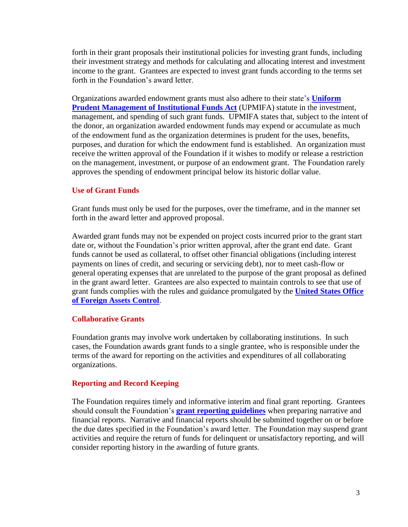forth in their grant proposals their institutional policies for investing grant funds, including their investment strategy and methods for calculating and allocating interest and investment income to the grant. Grantees are expected to invest grant funds according to the terms set forth in the Foundation's award letter.

Organizations awarded endowment grants must also adhere to their state's **[Uniform](http://www.upmifa.org/)  [Prudent Management of Institutional Funds Act](http://www.upmifa.org/)** (UPMIFA) statute in the investment, management, and spending of such grant funds. UPMIFA states that, subject to the intent of the donor, an organization awarded endowment funds may expend or accumulate as much of the endowment fund as the organization determines is prudent for the uses, benefits, purposes, and duration for which the endowment fund is established. An organization must receive the written approval of the Foundation if it wishes to modify or release a restriction on the management, investment, or purpose of an endowment grant. The Foundation rarely approves the spending of endowment principal below its historic dollar value.

## **Use of Grant Funds**

Grant funds must only be used for the purposes, over the timeframe, and in the manner set forth in the award letter and approved proposal.

Awarded grant funds may not be expended on project costs incurred prior to the grant start date or, without the Foundation's prior written approval, after the grant end date. Grant funds cannot be used as collateral, to offset other financial obligations (including interest payments on lines of credit, and securing or servicing debt), nor to meet cash-flow or general operating expenses that are unrelated to the purpose of the grant proposal as defined in the grant award letter. Grantees are also expected to maintain controls to see that use of grant funds complies with the rules and guidance promulgated by the **[United States Office](http://www.treasury.gov/about/organizational-structure/offices/Pages/Office-of-Foreign-Assets-Control.aspx)  [of Foreign Assets](http://www.treasury.gov/about/organizational-structure/offices/Pages/Office-of-Foreign-Assets-Control.aspx) Control**.

#### **Collaborative Grants**

Foundation grants may involve work undertaken by collaborating institutions. In such cases, the Foundation awards grant funds to a single grantee, who is responsible under the terms of the award for reporting on the activities and expenditures of all collaborating organizations.

#### **Reporting and Record Keeping**

The Foundation requires timely and informative interim and final grant reporting. Grantees should consult the Foundation's **[grant reporting guidelines](http://www.mellon.org/grants/grantmaking-policies-and-guidelines/grant-reporting-guidelines/)** when preparing narrative and financial reports. Narrative and financial reports should be submitted together on or before the due dates specified in the Foundation's award letter. The Foundation may suspend grant activities and require the return of funds for delinquent or unsatisfactory reporting, and will consider reporting history in the awarding of future grants.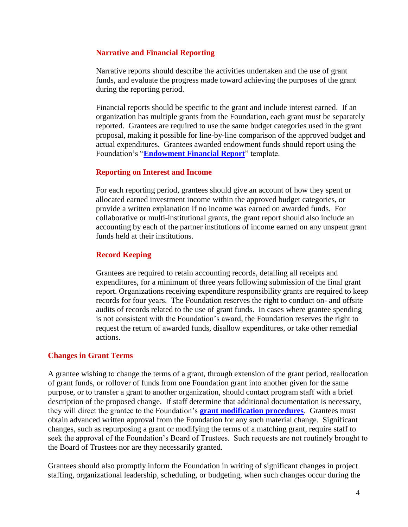#### **Narrative and Financial Reporting**

Narrative reports should describe the activities undertaken and the use of grant funds, and evaluate the progress made toward achieving the purposes of the grant during the reporting period.

Financial reports should be specific to the grant and include interest earned. If an organization has multiple grants from the Foundation, each grant must be separately reported. Grantees are required to use the same budget categories used in the grant proposal, making it possible for line-by-line comparison of the approved budget and actual expenditures. Grantees awarded endowment funds should report using the Foundation's "**[Endowment Financial Report](http://www.mellon.org/media/filer_public/41/e7/41e77d5a-06ce-41b8-bf2d-f90f2981db63/endowmentfinancialreport120414.xlsx)**" template.

#### **Reporting on Interest and Income**

For each reporting period, grantees should give an account of how they spent or allocated earned investment income within the approved budget categories, or provide a written explanation if no income was earned on awarded funds. For collaborative or multi-institutional grants, the grant report should also include an accounting by each of the partner institutions of income earned on any unspent grant funds held at their institutions.

#### **Record Keeping**

Grantees are required to retain accounting records, detailing all receipts and expenditures, for a minimum of three years following submission of the final grant report. Organizations receiving expenditure responsibility grants are required to keep records for four years. The Foundation reserves the right to conduct on- and offsite audits of records related to the use of grant funds. In cases where grantee spending is not consistent with the Foundation's award, the Foundation reserves the right to request the return of awarded funds, disallow expenditures, or take other remedial actions.

#### **Changes in Grant Terms**

A grantee wishing to change the terms of a grant, through extension of the grant period, reallocation of grant funds, or rollover of funds from one Foundation grant into another given for the same purpose, or to transfer a grant to another organization, should contact program staff with a brief description of the proposed change. If staff determine that additional documentation is necessary, they will direct the grantee to the Foundation's **[grant modification procedures](http://www.mellon.org/grants/grantmaking-policies-and-guidelines/grant-modifications-and-matching-payments/)**. Grantees must obtain advanced written approval from the Foundation for any such material change. Significant changes, such as repurposing a grant or modifying the terms of a matching grant, require staff to seek the approval of the Foundation's Board of Trustees. Such requests are not routinely brought to the Board of Trustees nor are they necessarily granted.

Grantees should also promptly inform the Foundation in writing of significant changes in project staffing, organizational leadership, scheduling, or budgeting, when such changes occur during the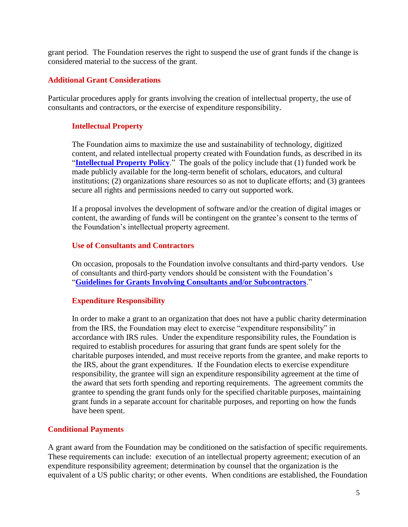grant period. The Foundation reserves the right to suspend the use of grant funds if the change is considered material to the success of the grant.

## **Additional Grant Considerations**

Particular procedures apply for grants involving the creation of intellectual property, the use of consultants and contractors, or the exercise of expenditure responsibility.

## **Intellectual Property**

The Foundation aims to maximize the use and sustainability of technology, digitized content, and related intellectual property created with Foundation funds, as described in its "**[Intellectual Property](http://www.mellon.org/grants/grantmaking-policies-and-guidelines/grantmaking-policies/intellectual-property-policy/) Policy**." The goals of the policy include that (1) funded work be made publicly available for the long-term benefit of scholars, educators, and cultural institutions; (2) organizations share resources so as not to duplicate efforts; and (3) grantees secure all rights and permissions needed to carry out supported work.

If a proposal involves the development of software and/or the creation of digital images or content, the awarding of funds will be contingent on the grantee's consent to the terms of the Foundation's intellectual property agreement.

#### **Use of Consultants and Contractors**

On occasion, proposals to the Foundation involve consultants and third-party vendors. Use of consultants and third-party vendors should be consistent with the Foundation's "**[Guidelines for Grants Involving Consultants and/or Subcontractors](http://www.mellon.org/media/filer_public/9b/c7/9bc7216d-4c71-46de-9796-73831854d06a/guidelinesgrantsconsultantssubcontractors102313.pdf)**."

# **Expenditure Responsibility**

In order to make a grant to an organization that does not have a public charity determination from the IRS, the Foundation may elect to exercise "expenditure responsibility" in accordance with IRS rules. Under the expenditure responsibility rules, the Foundation is required to establish procedures for assuring that grant funds are spent solely for the charitable purposes intended, and must receive reports from the grantee, and make reports to the IRS, about the grant expenditures. If the Foundation elects to exercise expenditure responsibility, the grantee will sign an expenditure responsibility agreement at the time of the award that sets forth spending and reporting requirements. The agreement commits the grantee to spending the grant funds only for the specified charitable purposes, maintaining grant funds in a separate account for charitable purposes, and reporting on how the funds have been spent.

#### **Conditional Payments**

A grant award from the Foundation may be conditioned on the satisfaction of specific requirements. These requirements can include: execution of an intellectual property agreement; execution of an expenditure responsibility agreement; determination by counsel that the organization is the equivalent of a US public charity; or other events. When conditions are established, the Foundation